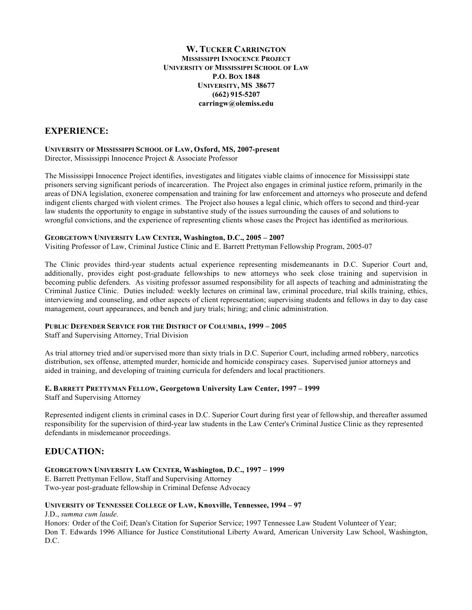**W. TUCKER CARRINGTON MISSISSIPPI INNOCENCE PROJECT UNIVERSITY OF MISSISSIPPI SCHOOL OF LAW P.O. BOX 1848 UNIVERSITY, MS 38677 (662) 915-5207 carringw@olemiss.edu**

# **EXPERIENCE:**

#### **UNIVERSITY OF MISSISSIPPI SCHOOL OF LAW, Oxford, MS, 2007-present** Director, Mississippi Innocence Project & Associate Professor

The Mississippi Innocence Project identifies, investigates and litigates viable claims of innocence for Mississippi state prisoners serving significant periods of incarceration. The Project also engages in criminal justice reform, primarily in the areas of DNA legislation, exoneree compensation and training for law enforcement and attorneys who prosecute and defend indigent clients charged with violent crimes. The Project also houses a legal clinic, which offers to second and third-year law students the opportunity to engage in substantive study of the issues surrounding the causes of and solutions to wrongful convictions, and the experience of representing clients whose cases the Project has identified as meritorious.

### **GEORGETOWN UNIVERSITY LAW CENTER, Washington, D.C., 2005 – 2007**

Visiting Professor of Law, Criminal Justice Clinic and E. Barrett Prettyman Fellowship Program, 2005-07

The Clinic provides third-year students actual experience representing misdemeanants in D.C. Superior Court and, additionally, provides eight post-graduate fellowships to new attorneys who seek close training and supervision in becoming public defenders. As visiting professor assumed responsibility for all aspects of teaching and administrating the Criminal Justice Clinic. Duties included: weekly lectures on criminal law, criminal procedure, trial skills training, ethics, interviewing and counseling, and other aspects of client representation; supervising students and fellows in day to day case management, court appearances, and bench and jury trials; hiring; and clinic administration.

## **PUBLIC DEFENDER SERVICE FOR THE DISTRICT OF COLUMBIA, 1999 – 2005**

Staff and Supervising Attorney, Trial Division

As trial attorney tried and/or supervised more than sixty trials in D.C. Superior Court, including armed robbery, narcotics distribution, sex offense, attempted murder, homicide and homicide conspiracy cases. Supervised junior attorneys and aided in training, and developing of training curricula for defenders and local practitioners.

## **E. BARRETT PRETTYMAN FELLOW, Georgetown University Law Center, 1997 – 1999**

Staff and Supervising Attorney

Represented indigent clients in criminal cases in D.C. Superior Court during first year of fellowship, and thereafter assumed responsibility for the supervision of third-year law students in the Law Center's Criminal Justice Clinic as they represented defendants in misdemeanor proceedings.

# **EDUCATION:**

#### **GEORGETOWN UNIVERSITY LAW CENTER, Washington, D.C., 1997 – 1999**

E. Barrett Prettyman Fellow, Staff and Supervising Attorney Two-year post-graduate fellowship in Criminal Defense Advocacy

## **UNIVERSITY OF TENNESSEE COLLEGE OF LAW, Knoxville, Tennessee, 1994 – 97**

J.D., *summa cum laude.*

Honors: Order of the Coif; Dean's Citation for Superior Service; 1997 Tennessee Law Student Volunteer of Year; Don T. Edwards 1996 Alliance for Justice Constitutional Liberty Award, American University Law School, Washington, D.C.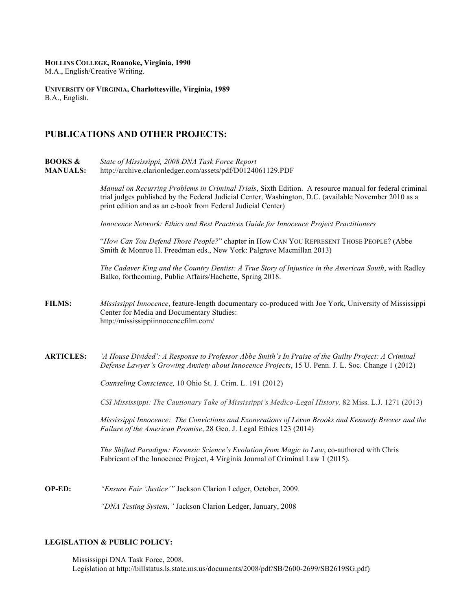**HOLLINS COLLEGE, Roanoke, Virginia, 1990** M.A., English/Creative Writing.

**UNIVERSITY OF VIRGINIA, Charlottesville, Virginia, 1989** B.A., English.

# **PUBLICATIONS AND OTHER PROJECTS:**

**BOOKS &** *State of Mississippi, 2008 DNA Task Force Report* **MANUALS:** http://archive.clarionledger.com/assets/pdf/D0124061129.PDF *Manual on Recurring Problems in Criminal Trials*, Sixth Edition. A resource manual for federal criminal trial judges published by the Federal Judicial Center, Washington, D.C. (available November 2010 as a print edition and as an e-book from Federal Judicial Center) *Innocence Network: Ethics and Best Practices Guide for Innocence Project Practitioners* "*How Can You Defend Those People?*" chapter in How CAN YOU REPRESENT THOSE PEOPLE? (Abbe Smith & Monroe H. Freedman eds., New York: Palgrave Macmillan 2013) *The Cadaver King and the Country Dentist: A True Story of Injustice in the American South*, with Radley Balko, forthcoming, Public Affairs/Hachette, Spring 2018. **FILMS:** *Mississippi Innocence*, feature-length documentary co-produced with Joe York, University of Mississippi Center for Media and Documentary Studies: http://mississippiinnocencefilm.com/ **ARTICLES:** *'A House Divided': A Response to Professor Abbe Smith's In Praise of the Guilty Project: A Criminal Defense Lawyer's Growing Anxiety about Innocence Projects*, 15 U. Penn. J. L. Soc. Change 1 (2012) *Counseling Conscience,* 10 Ohio St. J. Crim. L. 191 (2012) *CSI Mississippi: The Cautionary Take of Mississippi's Medico-Legal History,* 82 Miss. L.J. 1271 (2013) *Mississippi Innocence: The Convictions and Exonerations of Levon Brooks and Kennedy Brewer and the Failure of the American Promise*, 28 Geo. J. Legal Ethics 123 (2014) *The Shifted Paradigm: Forensic Science's Evolution from Magic to Law*, co-authored with Chris Fabricant of the Innocence Project, 4 Virginia Journal of Criminal Law 1 (2015). **OP-ED:** *"Ensure Fair 'Justice'"* Jackson Clarion Ledger, October, 2009.

*"DNA Testing System,"* Jackson Clarion Ledger, January, 2008

# **LEGISLATION & PUBLIC POLICY:**

Mississippi DNA Task Force, 2008. Legislation at http://billstatus.ls.state.ms.us/documents/2008/pdf/SB/2600-2699/SB2619SG.pdf)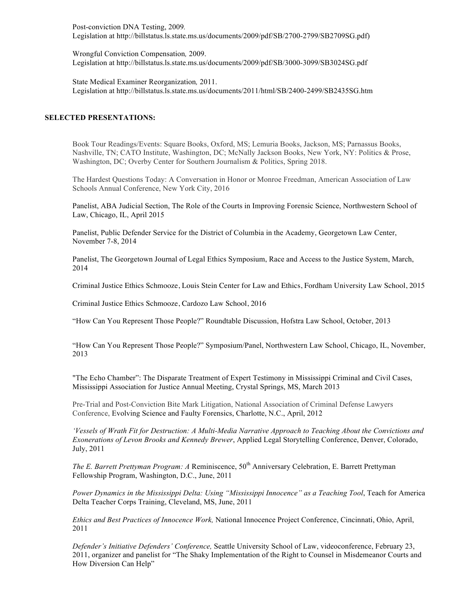Post-conviction DNA Testing, 2009*.*  Legislation at http://billstatus.ls.state.ms.us/documents/2009/pdf/SB/2700-2799/SB2709SG.pdf)

Wrongful Conviction Compensation*,* 2009. Legislation at http://billstatus.ls.state.ms.us/documents/2009/pdf/SB/3000-3099/SB3024SG.pdf

State Medical Examiner Reorganization*,* 2011. Legislation at http://billstatus.ls.state.ms.us/documents/2011/html/SB/2400-2499/SB2435SG.htm

### **SELECTED PRESENTATIONS:**

Book Tour Readings/Events: Square Books, Oxford, MS; Lemuria Books, Jackson, MS; Parnassus Books, Nashville, TN; CATO Institute, Washington, DC; McNally Jackson Books, New York, NY: Politics & Prose, Washington, DC; Overby Center for Southern Journalism & Politics, Spring 2018.

The Hardest Questions Today: A Conversation in Honor or Monroe Freedman, American Association of Law Schools Annual Conference, New York City, 2016

Panelist, ABA Judicial Section, The Role of the Courts in Improving Forensic Science, Northwestern School of Law, Chicago, IL, April 2015

Panelist, Public Defender Service for the District of Columbia in the Academy, Georgetown Law Center, November 7-8, 2014

Panelist, The Georgetown Journal of Legal Ethics Symposium, Race and Access to the Justice System, March, 2014

Criminal Justice Ethics Schmooze, Louis Stein Center for Law and Ethics, Fordham University Law School, 2015

Criminal Justice Ethics Schmooze, Cardozo Law School, 2016

"How Can You Represent Those People?" Roundtable Discussion, Hofstra Law School, October, 2013

"How Can You Represent Those People?" Symposium/Panel, Northwestern Law School, Chicago, IL, November, 2013

"The Echo Chamber": The Disparate Treatment of Expert Testimony in Mississippi Criminal and Civil Cases, Mississippi Association for Justice Annual Meeting, Crystal Springs, MS, March 2013

Pre-Trial and Post-Conviction Bite Mark Litigation, National Association of Criminal Defense Lawyers Conference, Evolving Science and Faulty Forensics, Charlotte, N.C., April, 2012

*'Vessels of Wrath Fit for Destruction: A Multi-Media Narrative Approach to Teaching About the Convictions and Exonerations of Levon Brooks and Kennedy Brewer*, Applied Legal Storytelling Conference, Denver, Colorado, July, 2011

*The E. Barrett Prettyman Program: A Reminiscence,* 50<sup>th</sup> Anniversary Celebration, E. Barrett Prettyman Fellowship Program, Washington, D.C., June, 2011

*Power Dynamics in the Mississippi Delta: Using "Mississippi Innocence" as a Teaching Tool*, Teach for America Delta Teacher Corps Training, Cleveland, MS, June, 2011

*Ethics and Best Practices of Innocence Work,* National Innocence Project Conference, Cincinnati, Ohio, April, 2011

*Defender's Initiative Defenders' Conference,* Seattle University School of Law, videoconference, February 23, 2011, organizer and panelist for "The Shaky Implementation of the Right to Counsel in Misdemeanor Courts and How Diversion Can Help"